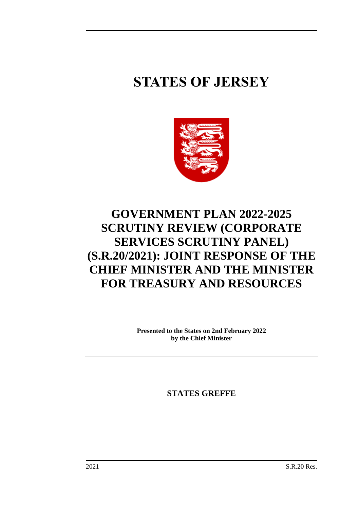# **STATES OF JERSEY**



## **GOVERNMENT PLAN 2022-2025 SCRUTINY REVIEW (CORPORATE SERVICES SCRUTINY PANEL) (S.R.20/2021): JOINT RESPONSE OF THE CHIEF MINISTER AND THE MINISTER FOR TREASURY AND RESOURCES**

**Presented to the States on 2nd February 2022 by the Chief Minister**

**STATES GREFFE**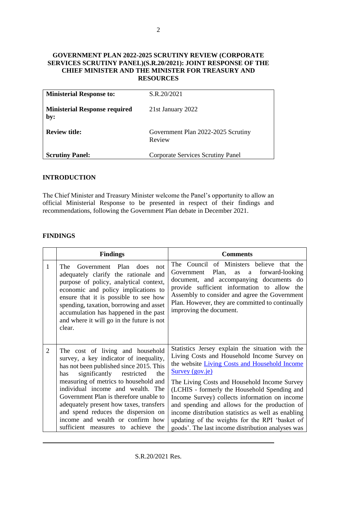#### **GOVERNMENT PLAN 2022-2025 SCRUTINY REVIEW (CORPORATE SERVICES SCRUTINY PANEL)(S.R.20/2021): JOINT RESPONSE OF THE CHIEF MINISTER AND THE MINISTER FOR TREASURY AND RESOURCES**

| <b>Ministerial Response to:</b>             | S.R.20/2021                                  |
|---------------------------------------------|----------------------------------------------|
| <b>Ministerial Response required</b><br>by: | 21st January 2022                            |
| <b>Review title:</b>                        | Government Plan 2022-2025 Scrutiny<br>Review |
| <b>Scrutiny Panel:</b>                      | <b>Corporate Services Scrutiny Panel</b>     |

#### **INTRODUCTION**

The Chief Minister and Treasury Minister welcome the Panel's opportunity to allow an official Ministerial Response to be presented in respect of their findings and recommendations, following the Government Plan debate in December 2021.

#### **FINDINGS**

|   | <b>Findings</b>                                                                                                                                                                                                                                                                                                                                                                                                                                           | <b>Comments</b>                                                                                                                                                                                                                                                                                                                                                                                                                                                                                                                    |
|---|-----------------------------------------------------------------------------------------------------------------------------------------------------------------------------------------------------------------------------------------------------------------------------------------------------------------------------------------------------------------------------------------------------------------------------------------------------------|------------------------------------------------------------------------------------------------------------------------------------------------------------------------------------------------------------------------------------------------------------------------------------------------------------------------------------------------------------------------------------------------------------------------------------------------------------------------------------------------------------------------------------|
| 1 | Government Plan<br>does<br><b>The</b><br>not<br>adequately clarify the rationale and<br>purpose of policy, analytical context,<br>economic and policy implications to<br>ensure that it is possible to see how<br>spending, taxation, borrowing and asset<br>accumulation has happened in the past<br>and where it will go in the future is not<br>clear.                                                                                                 | The Council of Ministers believe that the<br>Government Plan,<br>forward-looking<br>as<br>a<br>document, and accompanying documents do<br>provide sufficient information to allow the<br>Assembly to consider and agree the Government<br>Plan. However, they are committed to continually<br>improving the document.                                                                                                                                                                                                              |
| 2 | The cost of living and household<br>survey, a key indicator of inequality,<br>has not been published since 2015. This<br>significantly<br>restricted<br>has<br>the<br>measuring of metrics to household and<br>individual income and wealth. The<br>Government Plan is therefore unable to<br>adequately present how taxes, transfers<br>and spend reduces the dispersion on<br>income and wealth or confirm how<br>sufficient measures to achieve<br>the | Statistics Jersey explain the situation with the<br>Living Costs and Household Income Survey on<br>the website Living Costs and Household Income<br>Survey (gov.je)<br>The Living Costs and Household Income Survey<br>(LCHIS - formerly the Household Spending and<br>Income Survey) collects information on income<br>and spending and allows for the production of<br>income distribution statistics as well as enabling<br>updating of the weights for the RPI 'basket of<br>goods'. The last income distribution analyses was |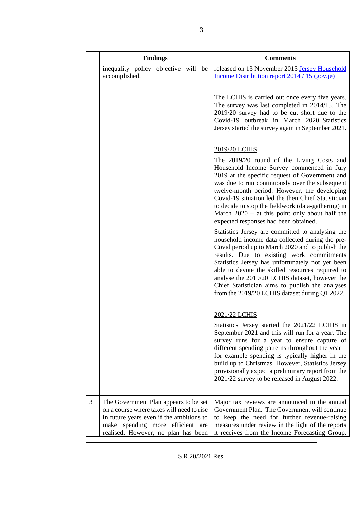|   |                                                                                                                                                                                                           | <b>Findings</b> |  | <b>Comments</b>                                                                                                                                                                                                                                                                                                                                                                                                                                                     |
|---|-----------------------------------------------------------------------------------------------------------------------------------------------------------------------------------------------------------|-----------------|--|---------------------------------------------------------------------------------------------------------------------------------------------------------------------------------------------------------------------------------------------------------------------------------------------------------------------------------------------------------------------------------------------------------------------------------------------------------------------|
|   | inequality policy objective will be<br>accomplished.                                                                                                                                                      |                 |  | released on 13 November 2015 Jersey Household<br>Income Distribution report 2014 / 15 (gov.je)                                                                                                                                                                                                                                                                                                                                                                      |
|   |                                                                                                                                                                                                           |                 |  | The LCHIS is carried out once every five years.<br>The survey was last completed in 2014/15. The<br>2019/20 survey had to be cut short due to the<br>Covid-19 outbreak in March 2020. Statistics<br>Jersey started the survey again in September 2021.                                                                                                                                                                                                              |
|   |                                                                                                                                                                                                           |                 |  | 2019/20 LCHIS                                                                                                                                                                                                                                                                                                                                                                                                                                                       |
|   |                                                                                                                                                                                                           |                 |  | The 2019/20 round of the Living Costs and<br>Household Income Survey commenced in July<br>2019 at the specific request of Government and<br>was due to run continuously over the subsequent<br>twelve-month period. However, the developing<br>Covid-19 situation led the then Chief Statistician<br>to decide to stop the fieldwork (data-gathering) in<br>March $2020 - at this point only about half the$<br>expected responses had been obtained.               |
|   |                                                                                                                                                                                                           |                 |  | Statistics Jersey are committed to analysing the<br>household income data collected during the pre-<br>Covid period up to March 2020 and to publish the<br>results. Due to existing work commitments<br>Statistics Jersey has unfortunately not yet been<br>able to devote the skilled resources required to<br>analyse the 2019/20 LCHIS dataset, however the<br>Chief Statistician aims to publish the analyses<br>from the 2019/20 LCHIS dataset during Q1 2022. |
|   |                                                                                                                                                                                                           |                 |  | 2021/22 LCHIS                                                                                                                                                                                                                                                                                                                                                                                                                                                       |
|   |                                                                                                                                                                                                           |                 |  | Statistics Jersey started the 2021/22 LCHIS in<br>September 2021 and this will run for a year. The<br>survey runs for a year to ensure capture of<br>different spending patterns throughout the year -<br>for example spending is typically higher in the<br>build up to Christmas. However, Statistics Jersey<br>provisionally expect a preliminary report from the<br>2021/22 survey to be released in August 2022.                                               |
| 3 | The Government Plan appears to be set<br>on a course where taxes will need to rise<br>in future years even if the ambitions to<br>make spending more efficient are<br>realised. However, no plan has been |                 |  | Major tax reviews are announced in the annual<br>Government Plan. The Government will continue<br>to keep the need for further revenue-raising<br>measures under review in the light of the reports<br>it receives from the Income Forecasting Group.                                                                                                                                                                                                               |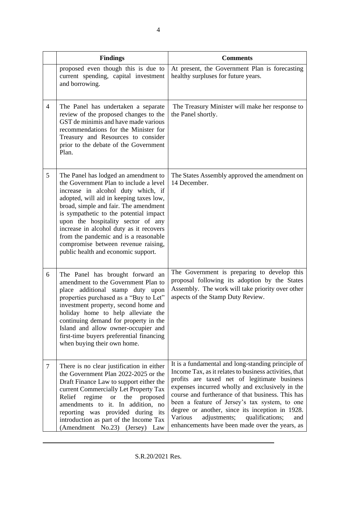|                | <b>Findings</b>                                                                                                                                                                                                                                                                                                                                                                                                                                            | <b>Comments</b>                                                                                                                                                                                                                                                                                                                                                                                                                                                                 |
|----------------|------------------------------------------------------------------------------------------------------------------------------------------------------------------------------------------------------------------------------------------------------------------------------------------------------------------------------------------------------------------------------------------------------------------------------------------------------------|---------------------------------------------------------------------------------------------------------------------------------------------------------------------------------------------------------------------------------------------------------------------------------------------------------------------------------------------------------------------------------------------------------------------------------------------------------------------------------|
|                | proposed even though this is due to<br>current spending, capital investment<br>and borrowing.                                                                                                                                                                                                                                                                                                                                                              | At present, the Government Plan is forecasting<br>healthy surpluses for future years.                                                                                                                                                                                                                                                                                                                                                                                           |
| $\overline{4}$ | The Panel has undertaken a separate<br>review of the proposed changes to the<br>GST de minimis and have made various<br>recommendations for the Minister for<br>Treasury and Resources to consider<br>prior to the debate of the Government<br>Plan.                                                                                                                                                                                                       | The Treasury Minister will make her response to<br>the Panel shortly.                                                                                                                                                                                                                                                                                                                                                                                                           |
| 5              | The Panel has lodged an amendment to<br>the Government Plan to include a level<br>increase in alcohol duty which, if<br>adopted, will aid in keeping taxes low,<br>broad, simple and fair. The amendment<br>is sympathetic to the potential impact<br>upon the hospitality sector of any<br>increase in alcohol duty as it recovers<br>from the pandemic and is a reasonable<br>compromise between revenue raising,<br>public health and economic support. | The States Assembly approved the amendment on<br>14 December.                                                                                                                                                                                                                                                                                                                                                                                                                   |
| 6              | The Panel has brought forward an<br>amendment to the Government Plan to<br>place additional stamp duty upon<br>properties purchased as a "Buy to Let"<br>investment property, second home and<br>holiday home to help alleviate the<br>continuing demand for property in the<br>Island and allow owner-occupier and<br>first-time buyers preferential financing<br>when buying their own home.                                                             | The Government is preparing to develop this<br>proposal following its adoption by the States<br>Assembly. The work will take priority over other<br>aspects of the Stamp Duty Review.                                                                                                                                                                                                                                                                                           |
| $\tau$         | There is no clear justification in either<br>the Government Plan 2022-2025 or the<br>Draft Finance Law to support either the<br>current Commercially Let Property Tax<br>Relief<br>regime<br>proposed<br><b>or</b><br>the<br>amendments to it. In addition, no<br>reporting was provided during its<br>introduction as part of the Income Tax<br>(Amendment No.23) (Jersey) Law                                                                            | It is a fundamental and long-standing principle of<br>Income Tax, as it relates to business activities, that<br>profits are taxed net of legitimate business<br>expenses incurred wholly and exclusively in the<br>course and furtherance of that business. This has<br>been a feature of Jersey's tax system, to one<br>degree or another, since its inception in 1928.<br>Various<br>adjustments;<br>qualifications;<br>and<br>enhancements have been made over the years, as |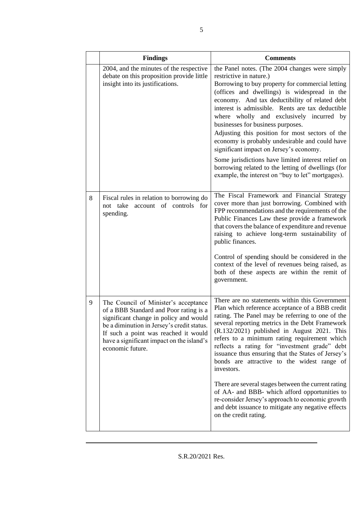|   | <b>Findings</b>                                                                                                                                                                                                                                                                 | <b>Comments</b>                                                                                                                                                                                                                                                                                                                                                                                                                                                                                                                                                                                                                                                                                                          |
|---|---------------------------------------------------------------------------------------------------------------------------------------------------------------------------------------------------------------------------------------------------------------------------------|--------------------------------------------------------------------------------------------------------------------------------------------------------------------------------------------------------------------------------------------------------------------------------------------------------------------------------------------------------------------------------------------------------------------------------------------------------------------------------------------------------------------------------------------------------------------------------------------------------------------------------------------------------------------------------------------------------------------------|
|   | 2004, and the minutes of the respective<br>debate on this proposition provide little<br>insight into its justifications.                                                                                                                                                        | the Panel notes. (The 2004 changes were simply<br>restrictive in nature.)<br>Borrowing to buy property for commercial letting<br>(offices and dwellings) is widespread in the<br>economy. And tax deductibility of related debt<br>interest is admissible. Rents are tax deductible<br>where wholly and exclusively incurred by<br>businesses for business purposes.<br>Adjusting this position for most sectors of the<br>economy is probably undesirable and could have<br>significant impact on Jersey's economy.<br>Some jurisdictions have limited interest relief on<br>borrowing related to the letting of dwellings (for<br>example, the interest on "buy to let" mortgages).                                    |
| 8 | Fiscal rules in relation to borrowing do<br>not take account of controls for<br>spending.                                                                                                                                                                                       | The Fiscal Framework and Financial Strategy<br>cover more than just borrowing. Combined with<br>FPP recommendations and the requirements of the<br>Public Finances Law these provide a framework<br>that covers the balance of expenditure and revenue<br>raising to achieve long-term sustainability of<br>public finances.<br>Control of spending should be considered in the<br>context of the level of revenues being raised, as<br>both of these aspects are within the remit of<br>government.                                                                                                                                                                                                                     |
| 9 | The Council of Minister's acceptance<br>of a BBB Standard and Poor rating is a<br>significant change in policy and would<br>be a diminution in Jersey's credit status.<br>If such a point was reached it would<br>have a significant impact on the island's<br>economic future. | There are no statements within this Government<br>Plan which reference acceptance of a BBB credit<br>rating. The Panel may be referring to one of the<br>several reporting metrics in the Debt Framework<br>$(R.132/2021)$ published in August 2021. This<br>refers to a minimum rating requirement which<br>reflects a rating for "investment grade" debt<br>issuance thus ensuring that the States of Jersey's<br>bonds are attractive to the widest range of<br>investors.<br>There are several stages between the current rating<br>of AA- and BBB- which afford opportunities to<br>re-consider Jersey's approach to economic growth<br>and debt issuance to mitigate any negative effects<br>on the credit rating. |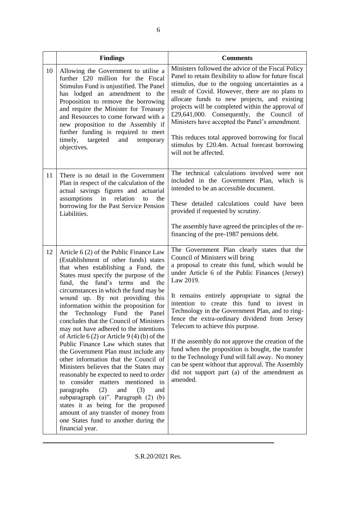|    | <b>Findings</b>                                                                                                                                                                                                                                                                                                                                                                                                                                                                                                                                                                                                                                                                                                                                                                                                                                                                                                                                                                       | <b>Comments</b>                                                                                                                                                                                                                                                                                                                                                                                                                                                                                                                                                                                                                                                                                                       |
|----|---------------------------------------------------------------------------------------------------------------------------------------------------------------------------------------------------------------------------------------------------------------------------------------------------------------------------------------------------------------------------------------------------------------------------------------------------------------------------------------------------------------------------------------------------------------------------------------------------------------------------------------------------------------------------------------------------------------------------------------------------------------------------------------------------------------------------------------------------------------------------------------------------------------------------------------------------------------------------------------|-----------------------------------------------------------------------------------------------------------------------------------------------------------------------------------------------------------------------------------------------------------------------------------------------------------------------------------------------------------------------------------------------------------------------------------------------------------------------------------------------------------------------------------------------------------------------------------------------------------------------------------------------------------------------------------------------------------------------|
| 10 | Allowing the Government to utilise a<br>further £20 million for the Fiscal<br>Stimulus Fund is unjustified. The Panel<br>has lodged an amendment to the<br>Proposition to remove the borrowing<br>and require the Minister for Treasury<br>and Resources to come forward with a<br>new proposition to the Assembly if<br>further funding is required to meet<br>timely,<br>targeted<br>and<br>temporary<br>objectives.                                                                                                                                                                                                                                                                                                                                                                                                                                                                                                                                                                | Ministers followed the advice of the Fiscal Policy<br>Panel to retain flexibility to allow for future fiscal<br>stimulus, due to the ongoing uncertainties as a<br>result of Covid. However, there are no plans to<br>allocate funds to new projects, and existing<br>projects will be completed within the approval of<br>£29,641,000. Consequently, the Council of<br>Ministers have accepted the Panel's amendment.<br>This reduces total approved borrowing for fiscal<br>stimulus by £20.4m. Actual forecast borrowing<br>will not be affected.                                                                                                                                                                  |
| 11 | There is no detail in the Government<br>Plan in respect of the calculation of the<br>actual savings figures and actuarial<br>assumptions in relation<br>to<br>the<br>borrowing for the Past Service Pension<br>Liabilities.                                                                                                                                                                                                                                                                                                                                                                                                                                                                                                                                                                                                                                                                                                                                                           | The technical calculations involved were not<br>included in the Government Plan, which is<br>intended to be an accessible document.<br>These detailed calculations could have been<br>provided if requested by scrutiny.<br>The assembly have agreed the principles of the re-<br>financing of the pre-1987 pensions debt.                                                                                                                                                                                                                                                                                                                                                                                            |
| 12 | Article 6 (2) of the Public Finance Law<br>(Establishment of other funds) states<br>that when establishing a Fund, the<br>States must specify the purpose of the<br>fund, the fund's terms<br>and<br>the<br>circumstances in which the fund may be<br>wound up. By not providing this<br>information within the proposition for<br>the Technology Fund the Panel<br>concludes that the Council of Ministers<br>may not have adhered to the intentions<br>of Article $6(2)$ or Article $9(4)(b)$ of the<br>Public Finance Law which states that<br>the Government Plan must include any<br>other information that the Council of<br>Ministers believes that the States may<br>reasonably be expected to need to order<br>to consider matters mentioned in<br>paragraphs<br>(2)<br>and<br>(3)<br>and<br>subparagraph (a)". Paragraph (2) (b)<br>states it as being for the proposed<br>amount of any transfer of money from<br>one States fund to another during the<br>financial year. | The Government Plan clearly states that the<br>Council of Ministers will bring<br>a proposal to create this fund, which would be<br>under Article 6 of the Public Finances (Jersey)<br>Law 2019.<br>It remains entirely appropriate to signal the<br>intention to create this fund to invest in<br>Technology in the Government Plan, and to ring-<br>fence the extra-ordinary dividend from Jersey<br>Telecom to achieve this purpose.<br>If the assembly do not approve the creation of the<br>fund when the proposition is bought, the transfer<br>to the Technology Fund will fall away. No money<br>can be spent without that approval. The Assembly<br>did not support part (a) of the amendment as<br>amended. |

S.R.20/2021 Res.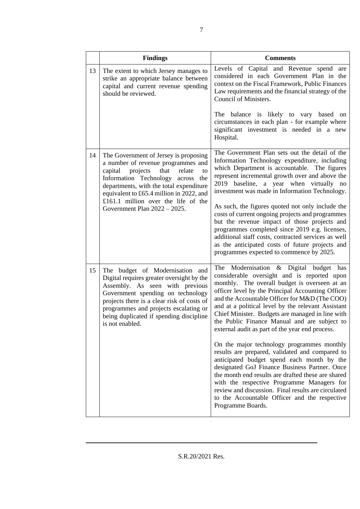|    | <b>Findings</b>                                                                                                                                                                                                                                                                                                                     | <b>Comments</b>                                                                                                                                                                                                                                                                                                                                                                                                                                                                                                                                                                                                                                                                                                                                                                                                                                                                            |
|----|-------------------------------------------------------------------------------------------------------------------------------------------------------------------------------------------------------------------------------------------------------------------------------------------------------------------------------------|--------------------------------------------------------------------------------------------------------------------------------------------------------------------------------------------------------------------------------------------------------------------------------------------------------------------------------------------------------------------------------------------------------------------------------------------------------------------------------------------------------------------------------------------------------------------------------------------------------------------------------------------------------------------------------------------------------------------------------------------------------------------------------------------------------------------------------------------------------------------------------------------|
| 13 | The extent to which Jersey manages to<br>strike an appropriate balance between<br>capital and current revenue spending<br>should be reviewed.                                                                                                                                                                                       | Levels of Capital and Revenue spend are<br>considered in each Government Plan in the<br>context on the Fiscal Framework, Public Finances<br>Law requirements and the financial strategy of the<br>Council of Ministers.                                                                                                                                                                                                                                                                                                                                                                                                                                                                                                                                                                                                                                                                    |
|    |                                                                                                                                                                                                                                                                                                                                     | The balance is likely to vary based on<br>circumstances in each plan - for example where<br>significant investment is needed in a new<br>Hospital.                                                                                                                                                                                                                                                                                                                                                                                                                                                                                                                                                                                                                                                                                                                                         |
| 14 | The Government of Jersey is proposing<br>a number of revenue programmes and<br>that<br>capital<br>projects<br>relate<br>to<br>Information Technology across<br>the<br>departments, with the total expenditure<br>equivalent to £65.4 million in 2022, and<br>£161.1 million over the life of the<br>Government Plan $2022 - 2025$ . | The Government Plan sets out the detail of the<br>Information Technology expenditure, including<br>which Department is accountable. The figures<br>represent incremental growth over and above the<br>2019 baseline, a year when virtually no<br>investment was made in Information Technology.<br>As such, the figures quoted not only include the<br>costs of current ongoing projects and programmes<br>but the revenue impact of those projects and<br>programmes completed since 2019 e.g. licenses,<br>additional staff costs, contracted services as well<br>as the anticipated costs of future projects and<br>programmes expected to commence by 2025.                                                                                                                                                                                                                            |
| 15 | The budget of Modernisation and<br>Digital requires greater oversight by the<br>Assembly. As seen with previous<br>Government spending on technology<br>projects there is a clear risk of costs of<br>programmes and projects escalating or<br>being duplicated if spending discipline<br>is not enabled.                           | The Modernisation & Digital budget has<br>considerable oversight and is reported upon<br>monthly. The overall budget is overseen at an<br>officer level by the Principal Accounting Officer<br>and the Accountable Officer for M&D (The COO)<br>and at a political level by the relevant Assistant<br>Chief Minister. Budgets are managed in line with<br>the Public Finance Manual and are subject to<br>external audit as part of the year end process.<br>On the major technology programmes monthly<br>results are prepared, validated and compared to<br>anticipated budget spend each month by the<br>designated GoJ Finance Business Partner. Once<br>the month end results are drafted these are shared<br>with the respective Programme Managers for<br>review and discussion. Final results are circulated<br>to the Accountable Officer and the respective<br>Programme Boards. |

7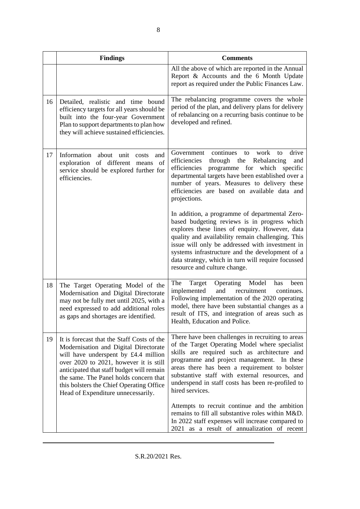|    | <b>Findings</b>                                                                                                                                                                                                                                                                                                                                | <b>Comments</b>                                                                                                                                                                                                                                                                                                                                                                                   |
|----|------------------------------------------------------------------------------------------------------------------------------------------------------------------------------------------------------------------------------------------------------------------------------------------------------------------------------------------------|---------------------------------------------------------------------------------------------------------------------------------------------------------------------------------------------------------------------------------------------------------------------------------------------------------------------------------------------------------------------------------------------------|
|    |                                                                                                                                                                                                                                                                                                                                                | All the above of which are reported in the Annual<br>Report & Accounts and the 6 Month Update<br>report as required under the Public Finances Law.                                                                                                                                                                                                                                                |
| 16 | Detailed, realistic and time bound<br>efficiency targets for all years should be<br>built into the four-year Government<br>Plan to support departments to plan how<br>they will achieve sustained efficiencies.                                                                                                                                | The rebalancing programme covers the whole<br>period of the plan, and delivery plans for delivery<br>of rebalancing on a recurring basis continue to be<br>developed and refined.                                                                                                                                                                                                                 |
| 17 | Information about unit<br>costs<br>and<br>exploration of different means<br>of<br>service should be explored further for<br>efficiencies.                                                                                                                                                                                                      | drive<br>continues<br>work<br>Government<br>to<br>to<br>efficiencies<br>through the<br>Rebalancing<br>and<br>efficiencies<br>programme for which<br>specific<br>departmental targets have been established over a<br>number of years. Measures to delivery these<br>efficiencies are based on available data and<br>projections.                                                                  |
|    |                                                                                                                                                                                                                                                                                                                                                | In addition, a programme of departmental Zero-<br>based budgeting reviews is in progress which<br>explores these lines of enquiry. However, data<br>quality and availability remain challenging. This<br>issue will only be addressed with investment in<br>systems infrastructure and the development of a<br>data strategy, which in turn will require focussed<br>resource and culture change. |
| 18 | The Target Operating Model of the<br>Modernisation and Digital Directorate<br>may not be fully met until 2025, with a<br>need expressed to add additional roles<br>as gaps and shortages are identified.                                                                                                                                       | The<br>Operating<br>Model<br>Target<br>has<br>been<br>implemented<br>and<br>recruitment<br>continues.<br>Following implementation of the 2020 operating<br>model, there have been substantial changes as a<br>result of ITS, and integration of areas such as<br>Health, Education and Police.                                                                                                    |
| 19 | It is forecast that the Staff Costs of the<br>Modernisation and Digital Directorate<br>will have underspent by £4.4 million<br>over 2020 to 2021, however it is still<br>anticipated that staff budget will remain<br>the same. The Panel holds concern that<br>this bolsters the Chief Operating Office<br>Head of Expenditure unnecessarily. | There have been challenges in recruiting to areas<br>of the Target Operating Model where specialist<br>skills are required such as architecture and<br>programme and project management. In these<br>areas there has been a requirement to bolster<br>substantive staff with external resources, and<br>underspend in staff costs has been re-profiled to<br>hired services.                      |
|    |                                                                                                                                                                                                                                                                                                                                                | Attempts to recruit continue and the ambition<br>remains to fill all substantive roles within M&D.<br>In 2022 staff expenses will increase compared to<br>2021 as a result of annualization of recent                                                                                                                                                                                             |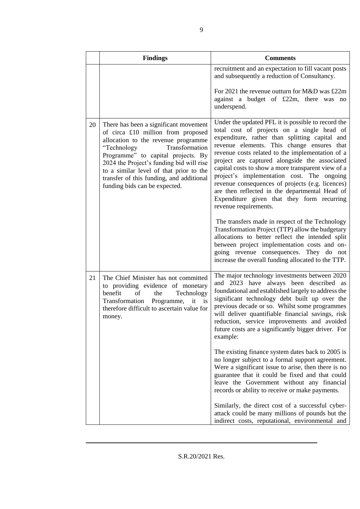|    | <b>Findings</b>                                                                                                                                                                                                                                                                                                                                               | <b>Comments</b>                                                                                                                                                                                                                                                                                                                                                                                                                                                                                                                                                                                                                                                                                                                                                                                                                              |
|----|---------------------------------------------------------------------------------------------------------------------------------------------------------------------------------------------------------------------------------------------------------------------------------------------------------------------------------------------------------------|----------------------------------------------------------------------------------------------------------------------------------------------------------------------------------------------------------------------------------------------------------------------------------------------------------------------------------------------------------------------------------------------------------------------------------------------------------------------------------------------------------------------------------------------------------------------------------------------------------------------------------------------------------------------------------------------------------------------------------------------------------------------------------------------------------------------------------------------|
|    |                                                                                                                                                                                                                                                                                                                                                               | recruitment and an expectation to fill vacant posts<br>and subsequently a reduction of Consultancy.                                                                                                                                                                                                                                                                                                                                                                                                                                                                                                                                                                                                                                                                                                                                          |
|    |                                                                                                                                                                                                                                                                                                                                                               | For 2021 the revenue outturn for M&D was £22m<br>against a budget of £22m, there was no<br>underspend.                                                                                                                                                                                                                                                                                                                                                                                                                                                                                                                                                                                                                                                                                                                                       |
| 20 | There has been a significant movement<br>of circa £10 million from proposed<br>allocation to the revenue programme<br>"Technology<br>Transformation<br>Programme" to capital projects. By<br>2024 the Project's funding bid will rise<br>to a similar level of that prior to the<br>transfer of this funding, and additional<br>funding bids can be expected. | Under the updated PFL it is possible to record the<br>total cost of projects on a single head of<br>expenditure, rather than splitting capital and<br>revenue elements. This change ensures that<br>revenue costs related to the implementation of a<br>project are captured alongside the associated<br>capital costs to show a more transparent view of a<br>project's implementation cost. The ongoing<br>revenue consequences of projects (e.g. licences)<br>are then reflected in the departmental Head of<br>Expenditure given that they form recurring<br>revenue requirements.<br>The transfers made in respect of the Technology<br>Transformation Project (TTP) allow the budgetary<br>allocations to better reflect the intended split<br>between project implementation costs and on-<br>going revenue consequences. They do not |
|    |                                                                                                                                                                                                                                                                                                                                                               | increase the overall funding allocated to the TTP.                                                                                                                                                                                                                                                                                                                                                                                                                                                                                                                                                                                                                                                                                                                                                                                           |
| 21 | The Chief Minister has not committed<br>to providing evidence of monetary<br>benefit<br>of<br>Technology<br>the<br>Transformation Programme,<br>it is<br>therefore difficult to ascertain value for<br>money.                                                                                                                                                 | The major technology investments between 2020<br>and 2023 have always been described as<br>foundational and established largely to address the<br>significant technology debt built up over the<br>previous decade or so. Whilst some programmes<br>will deliver quantifiable financial savings, risk<br>reduction, service improvements and avoided<br>future costs are a significantly bigger driver. For<br>example:                                                                                                                                                                                                                                                                                                                                                                                                                      |
|    |                                                                                                                                                                                                                                                                                                                                                               | The existing finance system dates back to 2005 is<br>no longer subject to a formal support agreement.<br>Were a significant issue to arise, then there is no<br>guarantee that it could be fixed and that could<br>leave the Government without any financial<br>records or ability to receive or make payments.                                                                                                                                                                                                                                                                                                                                                                                                                                                                                                                             |
|    |                                                                                                                                                                                                                                                                                                                                                               | Similarly, the direct cost of a successful cyber-<br>attack could be many millions of pounds but the<br>indirect costs, reputational, environmental and                                                                                                                                                                                                                                                                                                                                                                                                                                                                                                                                                                                                                                                                                      |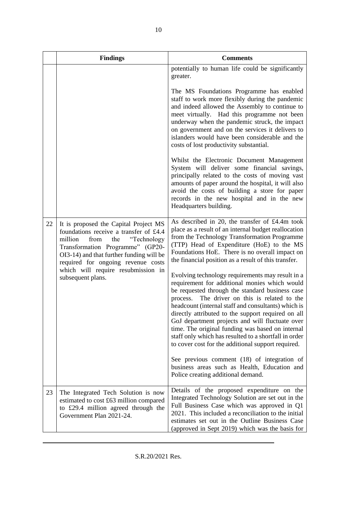|    | <b>Findings</b>                                                                                                                                                                                                                                                                                           | <b>Comments</b>                                                                                                                                                                                                                                                                                                                                                                                                                                                                                                                             |
|----|-----------------------------------------------------------------------------------------------------------------------------------------------------------------------------------------------------------------------------------------------------------------------------------------------------------|---------------------------------------------------------------------------------------------------------------------------------------------------------------------------------------------------------------------------------------------------------------------------------------------------------------------------------------------------------------------------------------------------------------------------------------------------------------------------------------------------------------------------------------------|
|    |                                                                                                                                                                                                                                                                                                           | potentially to human life could be significantly<br>greater.                                                                                                                                                                                                                                                                                                                                                                                                                                                                                |
|    |                                                                                                                                                                                                                                                                                                           | The MS Foundations Programme has enabled<br>staff to work more flexibly during the pandemic<br>and indeed allowed the Assembly to continue to<br>meet virtually. Had this programme not been<br>underway when the pandemic struck, the impact<br>on government and on the services it delivers to<br>islanders would have been considerable and the<br>costs of lost productivity substantial.                                                                                                                                              |
|    |                                                                                                                                                                                                                                                                                                           | Whilst the Electronic Document Management<br>System will deliver some financial savings,<br>principally related to the costs of moving vast<br>amounts of paper around the hospital, it will also<br>avoid the costs of building a store for paper<br>records in the new hospital and in the new<br>Headquarters building.                                                                                                                                                                                                                  |
| 22 | It is proposed the Capital Project MS<br>foundations receive a transfer of £4.4<br>"Technology<br>million<br>from<br>the<br>Transformation Programme" (GP20-<br>OI3-14) and that further funding will be<br>required for ongoing revenue costs<br>which will require resubmission in<br>subsequent plans. | As described in 20, the transfer of £4.4m took<br>place as a result of an internal budget reallocation<br>from the Technology Transformation Programme<br>(TTP) Head of Expenditure (HoE) to the MS<br>Foundations HoE. There is no overall impact on<br>the financial position as a result of this transfer.                                                                                                                                                                                                                               |
|    |                                                                                                                                                                                                                                                                                                           | Evolving technology requirements may result in a<br>requirement for additional monies which would<br>be requested through the standard business case<br>process.<br>The driver on this is related to the<br>headcount (internal staff and consultants) which is<br>directly attributed to the support required on all<br>GoJ department projects and will fluctuate over<br>time. The original funding was based on internal<br>staff only which has resulted to a shortfall in order<br>to cover cost for the additional support required. |
|    |                                                                                                                                                                                                                                                                                                           | See previous comment (18) of integration of<br>business areas such as Health, Education and<br>Police creating additional demand.                                                                                                                                                                                                                                                                                                                                                                                                           |
| 23 | The Integrated Tech Solution is now<br>estimated to cost £63 million compared<br>to £29.4 million agreed through the<br>Government Plan 2021-24.                                                                                                                                                          | Details of the proposed expenditure on the<br>Integrated Technology Solution are set out in the<br>Full Business Case which was approved in Q1<br>2021. This included a reconciliation to the initial<br>estimates set out in the Outline Business Case<br>(approved in Sept 2019) which was the basis for                                                                                                                                                                                                                                  |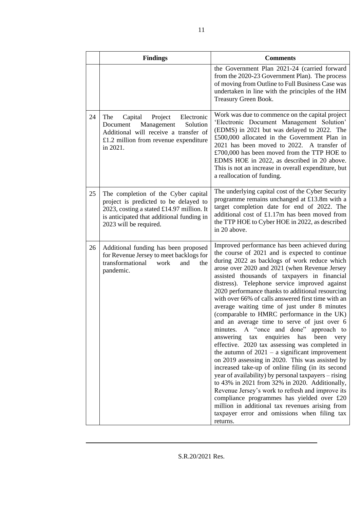|    | <b>Findings</b>                                                                                                                                                                                  | <b>Comments</b>                                                                                                                                                                                                                                                                                                                                                                                                                                                                                                                                                                                                                                                                                                                                                                                                                                                                                                                                                                                                                                                                                                                                                                                        |
|----|--------------------------------------------------------------------------------------------------------------------------------------------------------------------------------------------------|--------------------------------------------------------------------------------------------------------------------------------------------------------------------------------------------------------------------------------------------------------------------------------------------------------------------------------------------------------------------------------------------------------------------------------------------------------------------------------------------------------------------------------------------------------------------------------------------------------------------------------------------------------------------------------------------------------------------------------------------------------------------------------------------------------------------------------------------------------------------------------------------------------------------------------------------------------------------------------------------------------------------------------------------------------------------------------------------------------------------------------------------------------------------------------------------------------|
|    |                                                                                                                                                                                                  | the Government Plan 2021-24 (carried forward<br>from the 2020-23 Government Plan). The process<br>of moving from Outline to Full Business Case was<br>undertaken in line with the principles of the HM<br>Treasury Green Book.                                                                                                                                                                                                                                                                                                                                                                                                                                                                                                                                                                                                                                                                                                                                                                                                                                                                                                                                                                         |
| 24 | The<br>Electronic<br>Capital<br>Project<br>Solution<br>Document<br>Management<br>Additional will receive a transfer of<br>$£1.2$ million from revenue expenditure<br>in 2021.                    | Work was due to commence on the capital project<br>'Electronic Document Management Solution'<br>(EDMS) in 2021 but was delayed to 2022. The<br>£500,000 allocated in the Government Plan in<br>2021 has been moved to 2022. A transfer of<br>£700,000 has been moved from the TTP HOE to<br>EDMS HOE in 2022, as described in 20 above.<br>This is not an increase in overall expenditure, but<br>a reallocation of funding.                                                                                                                                                                                                                                                                                                                                                                                                                                                                                                                                                                                                                                                                                                                                                                           |
| 25 | The completion of the Cyber capital<br>project is predicted to be delayed to<br>2023, costing a stated £14.97 million. It<br>is anticipated that additional funding in<br>2023 will be required. | The underlying capital cost of the Cyber Security<br>programme remains unchanged at £13.8m with a<br>target completion date for end of 2022. The<br>additional cost of £1.17m has been moved from<br>the TTP HOE to Cyber HOE in 2022, as described<br>in 20 above.                                                                                                                                                                                                                                                                                                                                                                                                                                                                                                                                                                                                                                                                                                                                                                                                                                                                                                                                    |
| 26 | Additional funding has been proposed<br>for Revenue Jersey to meet backlogs for<br>transformational<br>work<br>and<br>the<br>pandemic.                                                           | Improved performance has been achieved during<br>the course of 2021 and is expected to continue<br>during 2022 as backlogs of work reduce which<br>arose over 2020 and 2021 (when Revenue Jersey<br>assisted thousands of taxpayers in financial<br>distress). Telephone service improved against<br>2020 performance thanks to additional resourcing<br>with over 66% of calls answered first time with an<br>average waiting time of just under 8 minutes<br>(comparable to HMRC performance in the UK)<br>and an average time to serve of just over 6<br>A "once and done" approach to<br>minutes.<br>answering<br>enquiries<br>has<br>been<br>tax<br>very<br>effective. 2020 tax assessing was completed in<br>the autumn of $2021 - a$ significant improvement<br>on 2019 assessing in 2020. This was assisted by<br>increased take-up of online filing (in its second<br>year of availability) by personal taxpayers – rising<br>to 43% in 2021 from 32% in 2020. Additionally,<br>Revenue Jersey's work to refresh and improve its<br>compliance programmes has yielded over £20<br>million in additional tax revenues arising from<br>taxpayer error and omissions when filing tax<br>returns. |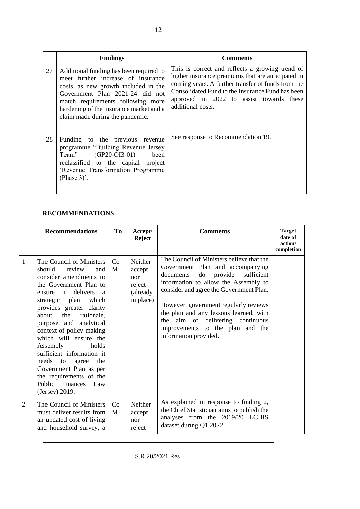|    | <b>Findings</b>                                                                                                                                                                                                                                                             | <b>Comments</b>                                                                                                                                                                                                                                                                 |
|----|-----------------------------------------------------------------------------------------------------------------------------------------------------------------------------------------------------------------------------------------------------------------------------|---------------------------------------------------------------------------------------------------------------------------------------------------------------------------------------------------------------------------------------------------------------------------------|
| 27 | Additional funding has been required to<br>meet further increase of insurance<br>costs, as new growth included in the<br>Government Plan 2021-24 did not<br>match requirements following more<br>hardening of the insurance market and a<br>claim made during the pandemic. | This is correct and reflects a growing trend of<br>higher insurance premiums that are anticipated in<br>coming years. A further transfer of funds from the<br>Consolidated Fund to the Insurance Fund has been<br>approved in 2022 to assist towards these<br>additional costs. |
| 28 | Funding to the previous revenue<br>programme "Building Revenue Jersey<br>Team" (GP20-OI3-01) been<br>reclassified to the capital project<br>'Revenue Transformation Programme<br>(Phase $3$ )'.                                                                             | See response to Recommendation 19.                                                                                                                                                                                                                                              |

### **RECOMMENDATIONS**

|   | <b>Recommendations</b>                                                                                                                                                                                                                                                                                                                                                                                                                                                                                       | To      | Accept/<br><b>Reject</b>                                     | <b>Comments</b>                                                                                                                                                                                                                                                                                                                                                                                     | <b>Target</b><br>date of<br>action/<br>completion |
|---|--------------------------------------------------------------------------------------------------------------------------------------------------------------------------------------------------------------------------------------------------------------------------------------------------------------------------------------------------------------------------------------------------------------------------------------------------------------------------------------------------------------|---------|--------------------------------------------------------------|-----------------------------------------------------------------------------------------------------------------------------------------------------------------------------------------------------------------------------------------------------------------------------------------------------------------------------------------------------------------------------------------------------|---------------------------------------------------|
| 1 | The Council of Ministers<br>should<br>review<br>and<br>consider amendments to<br>the Government Plan to<br>delivers<br>$-$ it<br>ensure<br>$\overline{a}$<br>strategic plan<br>which<br>provides greater clarity<br>the<br>rationale.<br>about<br>purpose and analytical<br>context of policy making<br>which will ensure the<br>Assembly<br>holds<br>sufficient information it<br>needs<br>the<br>to<br>agree<br>Government Plan as per<br>the requirements of the<br>Public Finances Law<br>(Jersey) 2019. | Co<br>M | Neither<br>accept<br>nor<br>reject<br>(already)<br>in place) | The Council of Ministers believe that the<br>Government Plan and accompanying<br>provide<br>sufficient<br>documents<br>do<br>information to allow the Assembly to<br>consider and agree the Government Plan.<br>However, government regularly reviews<br>the plan and any lessons learned, with<br>aim of delivering continuous<br>the<br>improvements to the plan and the<br>information provided. |                                                   |
| 2 | The Council of Ministers<br>must deliver results from<br>an updated cost of living<br>and household survey, a                                                                                                                                                                                                                                                                                                                                                                                                | Co<br>M | Neither<br>accept<br>nor<br>reject                           | As explained in response to finding 2,<br>the Chief Statistician aims to publish the<br>analyses from the 2019/20 LCHIS<br>dataset during Q1 2022.                                                                                                                                                                                                                                                  |                                                   |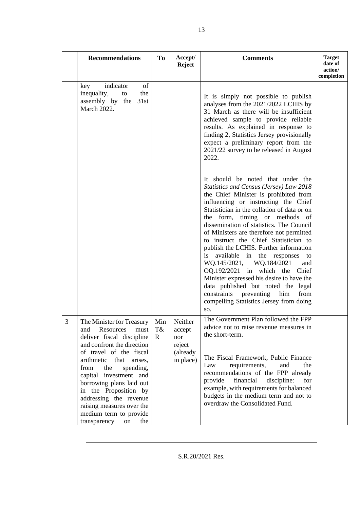|                | <b>Recommendations</b>                                                                                                                                                                                                                                                                                                                                                                                       | <b>To</b>                 | Accept/<br><b>Reject</b>                                    | <b>Comments</b>                                                                                                                                                                                                                                                                                                                                                                                                                                                                                                                                                                                                                                                                                                                                                                                                                                                                                                                                                                                                                                                                 | <b>Target</b><br>date of<br>action/ |
|----------------|--------------------------------------------------------------------------------------------------------------------------------------------------------------------------------------------------------------------------------------------------------------------------------------------------------------------------------------------------------------------------------------------------------------|---------------------------|-------------------------------------------------------------|---------------------------------------------------------------------------------------------------------------------------------------------------------------------------------------------------------------------------------------------------------------------------------------------------------------------------------------------------------------------------------------------------------------------------------------------------------------------------------------------------------------------------------------------------------------------------------------------------------------------------------------------------------------------------------------------------------------------------------------------------------------------------------------------------------------------------------------------------------------------------------------------------------------------------------------------------------------------------------------------------------------------------------------------------------------------------------|-------------------------------------|
|                | indicator<br>of<br>key<br>inequality,<br>the<br>to<br>assembly by the 31st<br>March 2022.                                                                                                                                                                                                                                                                                                                    |                           |                                                             | It is simply not possible to publish<br>analyses from the 2021/2022 LCHIS by<br>31 March as there will be insufficient<br>achieved sample to provide reliable<br>results. As explained in response to<br>finding 2, Statistics Jersey provisionally<br>expect a preliminary report from the<br>2021/22 survey to be released in August<br>2022.<br>It should be noted that under the<br>Statistics and Census (Jersey) Law 2018<br>the Chief Minister is prohibited from<br>influencing or instructing the Chief<br>Statistician in the collation of data or on<br>the form,<br>timing or methods<br>- of<br>dissemination of statistics. The Council<br>of Ministers are therefore not permitted<br>to instruct the Chief Statistician to<br>publish the LCHIS. Further information<br>available in the responses<br>is<br>to<br>WQ.145/2021, WQ.184/2021<br>and<br>$OQ.192/2021$ in which the<br>Chief<br>Minister expressed his desire to have the<br>data published but noted the legal<br>constraints preventing<br>from<br>him<br>compelling Statistics Jersey from doing | completion                          |
| $\mathfrak{Z}$ | The Minister for Treasury<br>Resources<br>and<br>must<br>deliver fiscal discipline<br>and confront the direction<br>of travel of the fiscal<br>arithmetic that<br>arises,<br>from<br>the<br>spending,<br>capital investment and<br>borrowing plans laid out<br>in the Proposition by<br>addressing the revenue<br>raising measures over the<br>medium term to provide<br>transparency<br>$\,$ on $\,$<br>the | Min<br>T&<br>$\mathbb{R}$ | Neither<br>accept<br>nor<br>reject<br>(already<br>in place) | SO.<br>The Government Plan followed the FPP<br>advice not to raise revenue measures in<br>the short-term.<br>The Fiscal Framework, Public Finance<br>requirements,<br>and<br>Law<br>the<br>recommendations of the FPP already<br>provide<br>financial<br>discipline:<br>for<br>example, with requirements for balanced<br>budgets in the medium term and not to<br>overdraw the Consolidated Fund.                                                                                                                                                                                                                                                                                                                                                                                                                                                                                                                                                                                                                                                                              |                                     |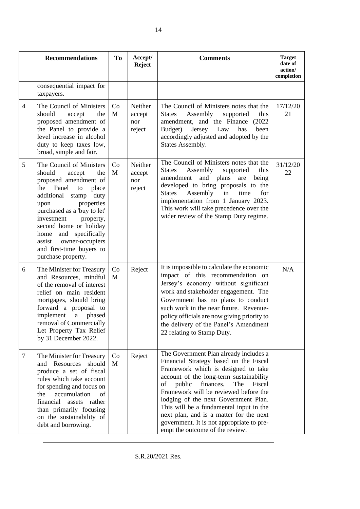|                | <b>Recommendations</b>                                                                                                                                                                                                                                                                                                                                       | To      | Accept/<br><b>Reject</b>           | <b>Comments</b>                                                                                                                                                                                                                                                                                                                                                                                                                                                         | <b>Target</b><br>date of<br>action/<br>completion |
|----------------|--------------------------------------------------------------------------------------------------------------------------------------------------------------------------------------------------------------------------------------------------------------------------------------------------------------------------------------------------------------|---------|------------------------------------|-------------------------------------------------------------------------------------------------------------------------------------------------------------------------------------------------------------------------------------------------------------------------------------------------------------------------------------------------------------------------------------------------------------------------------------------------------------------------|---------------------------------------------------|
|                | consequential impact for<br>taxpayers.                                                                                                                                                                                                                                                                                                                       |         |                                    |                                                                                                                                                                                                                                                                                                                                                                                                                                                                         |                                                   |
| $\overline{4}$ | The Council of Ministers<br>should<br>accept<br>the<br>proposed amendment of<br>the Panel to provide a<br>level increase in alcohol<br>duty to keep taxes low,<br>broad, simple and fair.                                                                                                                                                                    | Co<br>M | Neither<br>accept<br>nor<br>reject | The Council of Ministers notes that the<br>Assembly<br><b>States</b><br>supported<br>this<br>amendment, and the Finance (2022)<br>Budget)<br>Jersey Law<br>has<br>been<br>accordingly adjusted and adopted by the<br>States Assembly.                                                                                                                                                                                                                                   | 17/12/20<br>21                                    |
| 5              | The Council of Ministers<br>should<br>the<br>accept<br>proposed amendment of<br>the<br>Panel<br>to<br>place<br>additional<br>stamp<br>duty<br>properties<br>upon<br>purchased as a 'buy to let'<br>investment<br>property,<br>second home or holiday<br>home and specifically<br>owner-occupiers<br>assist<br>and first-time buyers to<br>purchase property. | Co<br>M | Neither<br>accept<br>nor<br>reject | The Council of Ministers notes that the<br><b>States</b><br>Assembly<br>this<br>supported<br>amendment<br>and plans<br>are<br>being<br>developed to bring proposals to the<br>Assembly<br><b>States</b><br>in<br>time<br>for<br>implementation from 1 January 2023.<br>This work will take precedence over the<br>wider review of the Stamp Duty regime.                                                                                                                | 31/12/20<br>22                                    |
| 6              | The Minister for Treasury<br>and Resources, mindful<br>of the removal of interest<br>relief on main resident<br>mortgages, should bring<br>forward a proposal to<br>implement<br>phased<br>$\mathbf{a}$<br>removal of Commercially<br>Let Property Tax Relief<br>by 31 December 2022.                                                                        | Co<br>M | Reject                             | It is impossible to calculate the economic<br>impact of this recommendation on<br>Jersey's economy without significant<br>work and stakeholder engagement. The<br>Government has no plans to conduct<br>such work in the near future. Revenue-<br>policy officials are now giving priority to<br>the delivery of the Panel's Amendment<br>22 relating to Stamp Duty.                                                                                                    | N/A                                               |
| $\tau$         | The Minister for Treasury<br>and Resources<br>should<br>produce a set of fiscal<br>rules which take account<br>for spending and focus on<br>accumulation<br>the<br>of<br>financial<br>assets<br>rather<br>than primarily focusing<br>on the sustainability of<br>debt and borrowing.                                                                         | Co<br>M | Reject                             | The Government Plan already includes a<br>Financial Strategy based on the Fiscal<br>Framework which is designed to take<br>account of the long-term sustainability<br>finances.<br>public<br>of<br>The<br>Fiscal<br>Framework will be reviewed before the<br>lodging of the next Government Plan.<br>This will be a fundamental input in the<br>next plan, and is a matter for the next<br>government. It is not appropriate to pre-<br>empt the outcome of the review. |                                                   |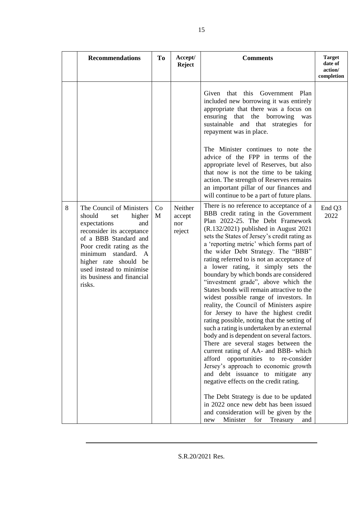|   | <b>Recommendations</b>                                                                                                                                                                                                                                                                  | To      | Accept/<br><b>Reject</b>           | <b>Comments</b>                                                                                                                                                                                                                                                                                                                                                                                                                                                                                                                                                                                                                                                                                                                                                                                                                                                                                                                                                                                                                                                                                                                                                                                                         | <b>Target</b><br>date of<br>action/<br>completion |
|---|-----------------------------------------------------------------------------------------------------------------------------------------------------------------------------------------------------------------------------------------------------------------------------------------|---------|------------------------------------|-------------------------------------------------------------------------------------------------------------------------------------------------------------------------------------------------------------------------------------------------------------------------------------------------------------------------------------------------------------------------------------------------------------------------------------------------------------------------------------------------------------------------------------------------------------------------------------------------------------------------------------------------------------------------------------------------------------------------------------------------------------------------------------------------------------------------------------------------------------------------------------------------------------------------------------------------------------------------------------------------------------------------------------------------------------------------------------------------------------------------------------------------------------------------------------------------------------------------|---------------------------------------------------|
|   |                                                                                                                                                                                                                                                                                         |         |                                    | Given that this<br>Government Plan<br>included new borrowing it was entirely<br>appropriate that there was a focus on<br>ensuring that the borrowing<br>was<br>sustainable and that<br>for<br>strategies<br>repayment was in place.                                                                                                                                                                                                                                                                                                                                                                                                                                                                                                                                                                                                                                                                                                                                                                                                                                                                                                                                                                                     |                                                   |
|   |                                                                                                                                                                                                                                                                                         |         |                                    | The Minister continues to note the<br>advice of the FPP in terms of the<br>appropriate level of Reserves, but also<br>that now is not the time to be taking<br>action. The strength of Reserves remains<br>an important pillar of our finances and<br>will continue to be a part of future plans.                                                                                                                                                                                                                                                                                                                                                                                                                                                                                                                                                                                                                                                                                                                                                                                                                                                                                                                       |                                                   |
| 8 | The Council of Ministers<br>should<br>higher<br>set<br>expectations<br>and<br>reconsider its acceptance<br>of a BBB Standard and<br>Poor credit rating as the<br>minimum<br>standard.<br>A<br>higher rate should be<br>used instead to minimise<br>its business and financial<br>risks. | Co<br>M | Neither<br>accept<br>nor<br>reject | There is no reference to acceptance of a<br>BBB credit rating in the Government<br>Plan 2022-25. The Debt Framework<br>$(R.132/2021)$ published in August 2021<br>sets the States of Jersey's credit rating as<br>a 'reporting metric' which forms part of<br>the wider Debt Strategy. The "BBB"<br>rating referred to is not an acceptance of<br>a lower rating, it simply sets the<br>boundary by which bonds are considered<br>"investment grade", above which the<br>States bonds will remain attractive to the<br>widest possible range of investors. In<br>reality, the Council of Ministers aspire<br>for Jersey to have the highest credit<br>rating possible, noting that the setting of<br>such a rating is undertaken by an external<br>body and is dependent on several factors.<br>There are several stages between the<br>current rating of AA- and BBB- which<br>afford<br>opportunities to re-consider<br>Jersey's approach to economic growth<br>and debt issuance to mitigate any<br>negative effects on the credit rating.<br>The Debt Strategy is due to be updated<br>in 2022 once new debt has been issued<br>and consideration will be given by the<br>Minister<br>for<br>Treasury<br>and<br>new | End Q3<br>2022                                    |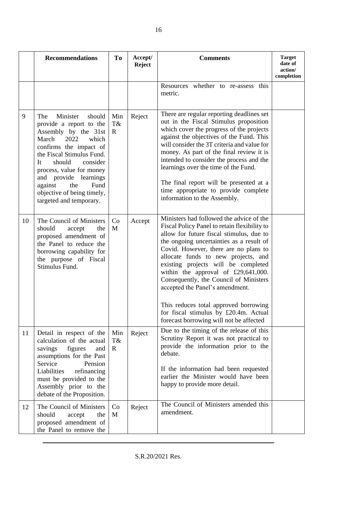|    | <b>Recommendations</b>                                                                                                                                                                                                                                                                                                            | To                        | Accept/<br><b>Reject</b> | <b>Comments</b>                                                                                                                                                                                                                                                                                                                                                                                                                                                                                                                                          | <b>Target</b><br>date of<br>action/<br>completion |
|----|-----------------------------------------------------------------------------------------------------------------------------------------------------------------------------------------------------------------------------------------------------------------------------------------------------------------------------------|---------------------------|--------------------------|----------------------------------------------------------------------------------------------------------------------------------------------------------------------------------------------------------------------------------------------------------------------------------------------------------------------------------------------------------------------------------------------------------------------------------------------------------------------------------------------------------------------------------------------------------|---------------------------------------------------|
|    |                                                                                                                                                                                                                                                                                                                                   |                           |                          | Resources whether to re-assess this<br>metric.                                                                                                                                                                                                                                                                                                                                                                                                                                                                                                           |                                                   |
| 9  | Minister<br>should<br>The<br>provide a report to the<br>Assembly by the 31st<br>March<br>2022<br>which<br>confirms the impact of<br>the Fiscal Stimulus Fund.<br>should<br>consider<br>It<br>process, value for money<br>and provide learnings<br>against<br>the<br>Fund<br>objective of being timely,<br>targeted and temporary. | Min<br>T&<br>$\mathbf{R}$ | Reject                   | There are regular reporting deadlines set<br>out in the Fiscal Stimulus proposition<br>which cover the progress of the projects<br>against the objectives of the Fund. This<br>will consider the 3T criteria and value for<br>money. As part of the final review it is<br>intended to consider the process and the<br>learnings over the time of the Fund.<br>The final report will be presented at a<br>time appropriate to provide complete<br>information to the Assembly.                                                                            |                                                   |
| 10 | The Council of Ministers<br>should<br>accept<br>the<br>proposed amendment of<br>the Panel to reduce the<br>borrowing capability for<br>the purpose of Fiscal<br>Stimulus Fund.                                                                                                                                                    | Co<br>M                   | Accept                   | Ministers had followed the advice of the<br>Fiscal Policy Panel to retain flexibility to<br>allow for future fiscal stimulus, due to<br>the ongoing uncertainties as a result of<br>Covid. However, there are no plans to<br>allocate funds to new projects, and<br>existing projects will be completed<br>within the approval of £29,641,000.<br>Consequently, the Council of Ministers<br>accepted the Panel's amendment.<br>This reduces total approved borrowing<br>for fiscal stimulus by £20.4m. Actual<br>forecast borrowing will not be affected |                                                   |
| 11 | Detail in respect of the<br>calculation of the actual<br>figures<br>savings<br>and<br>assumptions for the Past<br>Service<br>Pension<br>Liabilities<br>refinancing<br>must be provided to the<br>Assembly prior to the<br>debate of the Proposition.                                                                              | Min<br>T&<br>$\mathbf{R}$ | Reject                   | Due to the timing of the release of this<br>Scrutiny Report it was not practical to<br>provide the information prior to the<br>debate.<br>If the information had been requested<br>earlier the Minister would have been<br>happy to provide more detail.                                                                                                                                                                                                                                                                                                 |                                                   |
| 12 | The Council of Ministers<br>should<br>accept<br>the<br>proposed amendment of<br>the Panel to remove the                                                                                                                                                                                                                           | Co<br>M                   | Reject                   | The Council of Ministers amended this<br>amendment.                                                                                                                                                                                                                                                                                                                                                                                                                                                                                                      |                                                   |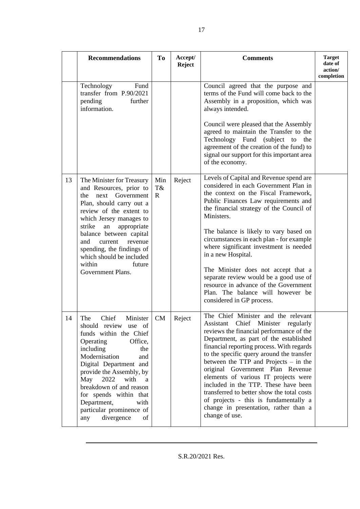|    | <b>Recommendations</b>                                                                                                                                                                                                                                                                                                                                               | <b>To</b>                | Accept/<br><b>Reject</b> | <b>Comments</b>                                                                                                                                                                                                                                                                                                                                                                                                                                                                                                                                                              | <b>Target</b><br>date of<br>action/<br>completion |
|----|----------------------------------------------------------------------------------------------------------------------------------------------------------------------------------------------------------------------------------------------------------------------------------------------------------------------------------------------------------------------|--------------------------|--------------------------|------------------------------------------------------------------------------------------------------------------------------------------------------------------------------------------------------------------------------------------------------------------------------------------------------------------------------------------------------------------------------------------------------------------------------------------------------------------------------------------------------------------------------------------------------------------------------|---------------------------------------------------|
|    | Technology<br>Fund<br>transfer from P.90/2021<br>pending<br>further<br>information.                                                                                                                                                                                                                                                                                  |                          |                          | Council agreed that the purpose and<br>terms of the Fund will come back to the<br>Assembly in a proposition, which was<br>always intended.<br>Council were pleased that the Assembly<br>agreed to maintain the Transfer to the<br>Technology Fund<br>(subject)<br>to<br>the<br>agreement of the creation of the fund) to<br>signal our support for this important area<br>of the economy.                                                                                                                                                                                    |                                                   |
| 13 | The Minister for Treasury<br>and Resources, prior to<br>the<br>next<br>Government<br>Plan, should carry out a<br>review of the extent to<br>which Jersey manages to<br>strike<br>appropriate<br>${\rm an}$<br>balance between capital<br>and<br>revenue<br>current<br>spending, the findings of<br>which should be included<br>within<br>future<br>Government Plans. | Min<br>T&<br>$\mathbf R$ | Reject                   | Levels of Capital and Revenue spend are<br>considered in each Government Plan in<br>the context on the Fiscal Framework,<br>Public Finances Law requirements and<br>the financial strategy of the Council of<br>Ministers.<br>The balance is likely to vary based on<br>circumstances in each plan - for example<br>where significant investment is needed<br>in a new Hospital.<br>The Minister does not accept that a<br>separate review would be a good use of<br>resource in advance of the Government<br>Plan. The balance will however be<br>considered in GP process. |                                                   |
| 14 | Chief<br>The<br>Minister<br>should review use of<br>funds within the Chief<br>Operating<br>Office,<br>including<br>the<br>Modernisation<br>and<br>Digital Department and<br>provide the Assembly, by<br>2022<br>May<br>with<br>a<br>breakdown of and reason<br>for spends within that<br>Department,<br>with<br>particular prominence of<br>divergence<br>of<br>any  | CM                       | Reject                   | The Chief Minister and the relevant<br>Assistant Chief Minister regularly<br>reviews the financial performance of the<br>Department, as part of the established<br>financial reporting process. With regards<br>to the specific query around the transfer<br>between the TTP and Projects $-$ in the<br>original Government Plan Revenue<br>elements of various IT projects were<br>included in the TTP. These have been<br>transferred to better show the total costs<br>of projects - this is fundamentally a<br>change in presentation, rather than a<br>change of use.   |                                                   |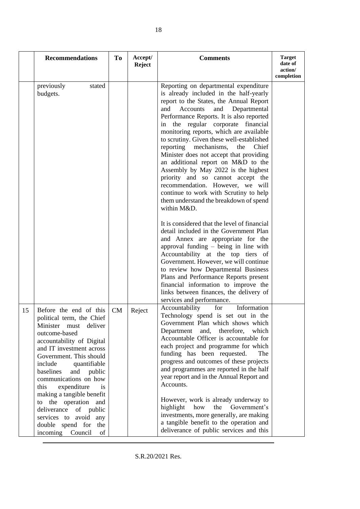|    | <b>Recommendations</b>                                                                                                                                                                                                                                                                                                                                                                                                                                                    | T <sub>o</sub> | Accept/<br><b>Reject</b> | <b>Comments</b>                                                                                                                                                                                                                                                                                                                                                                                                                                                                                                                                                                                                                                                                                                                                                                                                                                                                                                                                                                                                                                                                                                    | <b>Target</b><br>date of<br>action/ |
|----|---------------------------------------------------------------------------------------------------------------------------------------------------------------------------------------------------------------------------------------------------------------------------------------------------------------------------------------------------------------------------------------------------------------------------------------------------------------------------|----------------|--------------------------|--------------------------------------------------------------------------------------------------------------------------------------------------------------------------------------------------------------------------------------------------------------------------------------------------------------------------------------------------------------------------------------------------------------------------------------------------------------------------------------------------------------------------------------------------------------------------------------------------------------------------------------------------------------------------------------------------------------------------------------------------------------------------------------------------------------------------------------------------------------------------------------------------------------------------------------------------------------------------------------------------------------------------------------------------------------------------------------------------------------------|-------------------------------------|
|    | previously<br>stated<br>budgets.                                                                                                                                                                                                                                                                                                                                                                                                                                          |                |                          | Reporting on departmental expenditure<br>is already included in the half-yearly<br>report to the States, the Annual Report<br>and<br>Departmental<br>and<br>Accounts<br>Performance Reports. It is also reported<br>in the regular corporate financial<br>monitoring reports, which are available<br>to scrutiny. Given these well-established<br>reporting mechanisms, the<br>Chief<br>Minister does not accept that providing<br>an additional report on M&D to the<br>Assembly by May 2022 is the highest<br>priority and so cannot accept the<br>recommendation. However, we will<br>continue to work with Scrutiny to help<br>them understand the breakdown of spend<br>within M&D.<br>It is considered that the level of financial<br>detail included in the Government Plan<br>and Annex are appropriate for the<br>approval funding - being in line with<br>Accountability at the top tiers of<br>Government. However, we will continue<br>to review how Departmental Business<br>Plans and Performance Reports present<br>financial information to improve the<br>links between finances, the delivery of | completion                          |
| 15 | Before the end of this<br>political term, the Chief<br>deliver<br>Minister must<br>outcome-based<br>accountability of Digital<br>and IT investment across<br>Government. This should<br>include<br>quantifiable<br>baselines<br>and<br>public<br>communications on how<br>this<br>expenditure<br><i>is</i><br>making a tangible benefit<br>to the operation and<br>deliverance<br>of public<br>services to avoid any<br>double spend for<br>the<br>incoming Council<br>of | CM             | Reject                   | services and performance.<br>Accountability<br>Information<br>for<br>Technology spend is set out in the<br>Government Plan which shows which<br>Department and,<br>therefore,<br>which<br>Accountable Officer is accountable for<br>each project and programme for which<br>funding has been requested.<br>The<br>progress and outcomes of these projects<br>and programmes are reported in the half<br>year report and in the Annual Report and<br>Accounts.<br>However, work is already underway to<br>highlight how<br>the Government's<br>investments, more generally, are making<br>a tangible benefit to the operation and<br>deliverance of public services and this                                                                                                                                                                                                                                                                                                                                                                                                                                        |                                     |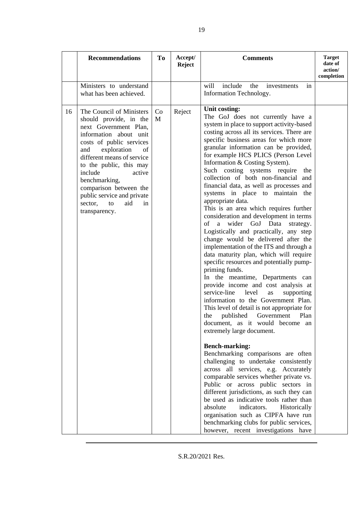|    | <b>Recommendations</b>                                                                                                                                                                                                                                                                                                                                              | T <sub>0</sub> | Accept/<br><b>Reject</b> | <b>Comments</b>                                                                                                                                                                                                                                                                                                                                                                                                                                                                                                                                                                                                                                                                                                                                                                                                                                                                                                                                                                                                                                                                                                                                                                                                                                                                                                                                                                                                                                                                                                                                                                                                                                                          | <b>Target</b><br>date of<br>action/<br>completion |
|----|---------------------------------------------------------------------------------------------------------------------------------------------------------------------------------------------------------------------------------------------------------------------------------------------------------------------------------------------------------------------|----------------|--------------------------|--------------------------------------------------------------------------------------------------------------------------------------------------------------------------------------------------------------------------------------------------------------------------------------------------------------------------------------------------------------------------------------------------------------------------------------------------------------------------------------------------------------------------------------------------------------------------------------------------------------------------------------------------------------------------------------------------------------------------------------------------------------------------------------------------------------------------------------------------------------------------------------------------------------------------------------------------------------------------------------------------------------------------------------------------------------------------------------------------------------------------------------------------------------------------------------------------------------------------------------------------------------------------------------------------------------------------------------------------------------------------------------------------------------------------------------------------------------------------------------------------------------------------------------------------------------------------------------------------------------------------------------------------------------------------|---------------------------------------------------|
|    | Ministers to understand<br>what has been achieved.                                                                                                                                                                                                                                                                                                                  |                |                          | include<br>will<br>the<br>investments<br>in<br>Information Technology.                                                                                                                                                                                                                                                                                                                                                                                                                                                                                                                                                                                                                                                                                                                                                                                                                                                                                                                                                                                                                                                                                                                                                                                                                                                                                                                                                                                                                                                                                                                                                                                                   |                                                   |
| 16 | The Council of Ministers<br>should provide, in the<br>next Government Plan,<br>information about unit<br>costs of public services<br>exploration<br>and<br>of<br>different means of service<br>to the public, this may<br>include<br>active<br>benchmarking,<br>comparison between the<br>public service and private<br>sector,<br>to<br>aid<br>in<br>transparency. | Co<br>M        | Reject                   | Unit costing:<br>The GoJ does not currently have a<br>system in place to support activity-based<br>costing across all its services. There are<br>specific business areas for which more<br>granular information can be provided,<br>for example HCS PLICS (Person Level<br>Information & Costing System).<br>Such costing systems require the<br>collection of both non-financial and<br>financial data, as well as processes and<br>systems in place to maintain the<br>appropriate data.<br>This is an area which requires further<br>consideration and development in terms<br>a wider GoJ Data<br>of<br>strategy.<br>Logistically and practically, any step<br>change would be delivered after the<br>implementation of the ITS and through a<br>data maturity plan, which will require<br>specific resources and potentially pump-<br>priming funds.<br>In the meantime, Departments can<br>provide income and cost analysis at<br>service-line<br>level<br>supporting<br>as<br>information to the Government Plan.<br>This level of detail is not appropriate for<br>published Government Plan<br>the<br>document, as it would become an<br>extremely large document.<br><b>Bench-marking:</b><br>Benchmarking comparisons are often<br>challenging to undertake consistently<br>across all services, e.g. Accurately<br>comparable services whether private vs.<br>Public or across public sectors in<br>different jurisdictions, as such they can<br>be used as indicative tools rather than<br>absolute<br>indicators.<br>Historically<br>organisation such as CIPFA have run<br>benchmarking clubs for public services,<br>however, recent investigations have |                                                   |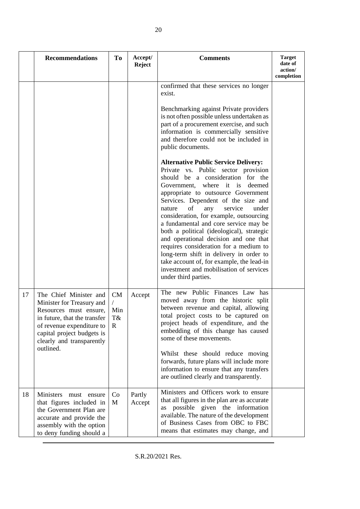|    | <b>Recommendations</b>                                                                                                                                                                                             | To                                           | Accept/<br><b>Reject</b> | <b>Comments</b>                                                                                                                                                                                                                                                                                                                                                                                                                                                                                                                                                                                                                                                                                                                                                                                                                                                                                                                                                          | <b>Target</b><br>date of<br>action/<br>completion |
|----|--------------------------------------------------------------------------------------------------------------------------------------------------------------------------------------------------------------------|----------------------------------------------|--------------------------|--------------------------------------------------------------------------------------------------------------------------------------------------------------------------------------------------------------------------------------------------------------------------------------------------------------------------------------------------------------------------------------------------------------------------------------------------------------------------------------------------------------------------------------------------------------------------------------------------------------------------------------------------------------------------------------------------------------------------------------------------------------------------------------------------------------------------------------------------------------------------------------------------------------------------------------------------------------------------|---------------------------------------------------|
|    |                                                                                                                                                                                                                    |                                              |                          | confirmed that these services no longer<br>exist.<br>Benchmarking against Private providers<br>is not often possible unless undertaken as<br>part of a procurement exercise, and such<br>information is commercially sensitive<br>and therefore could not be included in<br>public documents.<br><b>Alternative Public Service Delivery:</b><br>Private vs. Public sector provision<br>should be a consideration for the<br>where it is<br>Government,<br>deemed<br>appropriate to outsource Government<br>Services. Dependent of the size and<br>of<br>service<br>nature<br>any<br>under<br>consideration, for example, outsourcing<br>a fundamental and core service may be<br>both a political (ideological), strategic<br>and operational decision and one that<br>requires consideration for a medium to<br>long-term shift in delivery in order to<br>take account of, for example, the lead-in<br>investment and mobilisation of services<br>under third parties. |                                                   |
| 17 | The Chief Minister and<br>Minister for Treasury and<br>Resources must ensure,<br>in future, that the transfer<br>of revenue expenditure to<br>capital project budgets is<br>clearly and transparently<br>outlined. | CM<br>$\sqrt{2}$<br>Min<br>T&<br>$\mathbf R$ | Accept                   | The new Public Finances Law has<br>moved away from the historic split<br>between revenue and capital, allowing<br>total project costs to be captured on<br>project heads of expenditure, and the<br>embedding of this change has caused<br>some of these movements.<br>Whilst these should reduce moving<br>forwards, future plans will include more<br>information to ensure that any transfers<br>are outlined clearly and transparently.                                                                                                                                                                                                                                                                                                                                                                                                                                                                                                                              |                                                   |
| 18 | Ministers<br>must ensure<br>that figures included in<br>the Government Plan are<br>accurate and provide the<br>assembly with the option<br>to deny funding should a                                                | Co<br>M                                      | Partly<br>Accept         | Ministers and Officers work to ensure<br>that all figures in the plan are as accurate<br>as possible given the information<br>available. The nature of the development<br>of Business Cases from OBC to FBC<br>means that estimates may change, and                                                                                                                                                                                                                                                                                                                                                                                                                                                                                                                                                                                                                                                                                                                      |                                                   |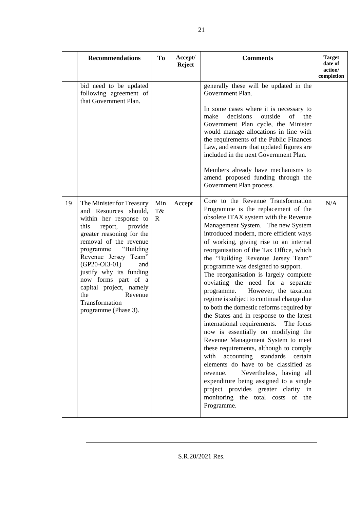|    | <b>Recommendations</b>                                                                                                                                                                                                                                                                                                                                                                  | To                        | Accept/<br><b>Reject</b> | <b>Comments</b>                                                                                                                                                                                                                                                                                                                                                                                                                                                                                                                                                                                                                                                                                                                                                                                                                                                                                                                                                                                                                                                | <b>Target</b><br>date of<br>action/<br>completion |
|----|-----------------------------------------------------------------------------------------------------------------------------------------------------------------------------------------------------------------------------------------------------------------------------------------------------------------------------------------------------------------------------------------|---------------------------|--------------------------|----------------------------------------------------------------------------------------------------------------------------------------------------------------------------------------------------------------------------------------------------------------------------------------------------------------------------------------------------------------------------------------------------------------------------------------------------------------------------------------------------------------------------------------------------------------------------------------------------------------------------------------------------------------------------------------------------------------------------------------------------------------------------------------------------------------------------------------------------------------------------------------------------------------------------------------------------------------------------------------------------------------------------------------------------------------|---------------------------------------------------|
|    | bid need to be updated<br>following agreement of<br>that Government Plan.                                                                                                                                                                                                                                                                                                               |                           |                          | generally these will be updated in the<br>Government Plan.<br>In some cases where it is necessary to<br>decisions<br>outside<br>of<br>the<br>make<br>Government Plan cycle, the Minister<br>would manage allocations in line with<br>the requirements of the Public Finances<br>Law, and ensure that updated figures are<br>included in the next Government Plan.<br>Members already have mechanisms to<br>amend proposed funding through the<br>Government Plan process.                                                                                                                                                                                                                                                                                                                                                                                                                                                                                                                                                                                      |                                                   |
| 19 | The Minister for Treasury<br>and Resources should,<br>within her response to<br>this<br>provide<br>report,<br>greater reasoning for the<br>removal of the revenue<br>"Building"<br>programme<br>Revenue Jersey Team"<br>$(GP20-OI3-01)$<br>and<br>justify why its funding<br>now forms part of a<br>capital project, namely<br>the<br>Revenue<br>Transformation<br>programme (Phase 3). | Min<br>T&<br>$\mathbf{R}$ | Accept                   | Core to the Revenue Transformation<br>Programme is the replacement of the<br>obsolete ITAX system with the Revenue<br>Management System. The new System<br>introduced modern, more efficient ways<br>of working, giving rise to an internal<br>reorganisation of the Tax Office, which<br>the "Building Revenue Jersey Team"<br>programme was designed to support.<br>The reorganisation is largely complete<br>obviating the need for a separate<br>However, the taxation<br>programme.<br>regime is subject to continual change due<br>to both the domestic reforms required by<br>the States and in response to the latest<br>international requirements. The focus<br>now is essentially on modifying the<br>Revenue Management System to meet<br>these requirements, although to comply<br>with<br>accounting<br>standards<br>certain<br>elements do have to be classified as<br>Nevertheless, having all<br>revenue.<br>expenditure being assigned to a single<br>project provides greater clarity in<br>monitoring the total costs of the<br>Programme. | N/A                                               |